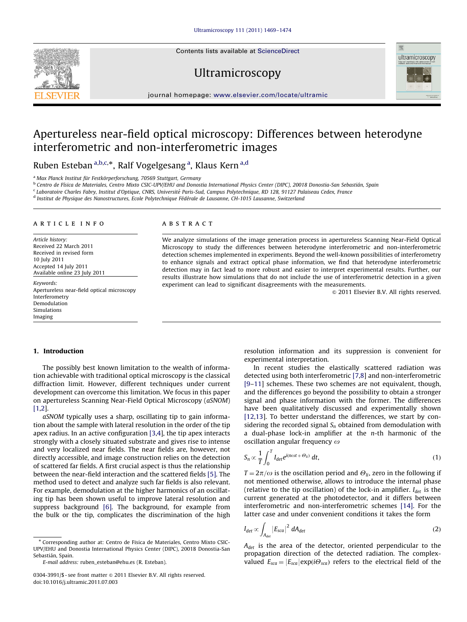Contents lists available at ScienceDirect

Ultramicroscopy



journal homepage: <www.elsevier.com/locate/ultramic>

# Apertureless near-field optical microscopy: Differences between heterodyne interferometric and non-interferometric images

Ruben Esteban <sup>a,b,c,</sup>\*, Ralf Vogelgesang <sup>a</sup>, Klaus Kern <sup>a,d</sup>

<sup>a</sup> Max Planck Institut für Festkörperforschung, 70569 Stuttgart, Germany

<sup>b</sup> Centro de Física de Materiales, Centro Mixto CSIC-UPV/EHU and Donostia International Physics Center (DIPC), 20018 Donostia-San Sebastián, Spain

<sup>c</sup> Laboratoire Charles Fabry, Institut d'Optique, CNRS, Université Paris-Sud, Campus Polytechnique, RD 128, 91127 Palaiseau Cedex, France

<sup>d</sup> Institut de Physique des Nanostructures, Ecole Polytechnique Fédérale de Lausanne, CH-1015 Lausanne, Switzerland

#### article info

Article history: Received 22 March 2011 Received in revised form 10 July 2011 Accepted 14 July 2011 Available online 23 July 2011

Keywords: Apertureless near-field optical microscopy Interferometry Demodulation Simulations Imaging

### ABSTRACT

We analyze simulations of the image generation process in apertureless Scanning Near-Field Optical Microscopy to study the differences between heterodyne interferometric and non-interferometric detection schemes implemented in experiments. Beyond the well-known possibilities of interferometry to enhance signals and extract optical phase information, we find that heterodyne interferometric detection may in fact lead to more robust and easier to interpret experimental results. Further, our results illustrate how simulations that do not include the use of interferometric detection in a given experiment can lead to significant disagreements with the measurements.

 $@$  2011 Elsevier B.V. All rights reserved.

## 1. Introduction

The possibly best known limitation to the wealth of information achievable with traditional optical microscopy is the classical diffraction limit. However, different techniques under current development can overcome this limitation. We focus in this paper on apertureless Scanning Near-Field Optical Microscopy (aSNOM) [\[1,2](#page-5-0)].

aSNOM typically uses a sharp, oscillating tip to gain information about the sample with lateral resolution in the order of the tip apex radius. In an active configuration [\[3,4](#page-5-0)], the tip apex interacts strongly with a closely situated substrate and gives rise to intense and very localized near fields. The near fields are, however, not directly accessible, and image construction relies on the detection of scattered far fields. A first crucial aspect is thus the relationship between the near-field interaction and the scattered fields [\[5\].](#page-5-0) The method used to detect and analyze such far fields is also relevant. For example, demodulation at the higher harmonics of an oscillating tip has been shown useful to improve lateral resolution and suppress background [\[6\]](#page-5-0). The background, for example from the bulk or the tip, complicates the discrimination of the high resolution information and its suppression is convenient for experimental interpretation.

In recent studies the elastically scattered radiation was detected using both interferometric [\[7,8\]](#page-5-0) and non-interferometric [\[9–11\]](#page-5-0) schemes. These two schemes are not equivalent, though, and the differences go beyond the possibility to obtain a stronger signal and phase information with the former. The differences have been qualitatively discussed and experimentally shown [\[12,13\]](#page-5-0). To better understand the differences, we start by considering the recorded signal  $S_n$  obtained from demodulation with a dual-phase lock-in amplifier at the  $n$ -th harmonic of the oscillation angular frequency  $\omega$ 

$$
S_n \propto \frac{1}{T} \int_0^T I_{\text{det}} e^{i(n\omega t + \Theta_{ii})} dt,
$$
\n(1)

 $T = 2\pi/\omega$  is the oscillation period and  $\Theta_{li}$ , zero in the following if not mentioned otherwise, allows to introduce the internal phase (relative to the tip oscillation) of the lock-in amplifier.  $I_{det}$  is the current generated at the photodetector, and it differs between interferometric and non-interferometric schemes [\[14\].](#page-5-0) For the latter case and under convenient conditions it takes the form

$$
I_{\text{det}} \propto \int_{A_{\text{det}}} |E_{\text{sc}a}|^2 \ dA_{\text{det}} \tag{2}
$$

 $A_{det}$  is the area of the detector, oriented perpendicular to the propagation direction of the detected radiation. The complexvalued  $E_{sca} = |E_{sca}| \exp(i\Theta_{sca})$  refers to the electrical field of the

<sup>\*</sup> Corresponding author at: Centro de Física de Materiales, Centro Mixto CSIC-UPV/EHU and Donostia International Physics Center (DIPC), 20018 Donostia-San Sebastián, Spain.

E-mail address: [ruben\\_esteban@ehu.es \(R. Esteban\)](mailto:ruben_esteban@ehu.es).

<sup>0304-3991/\$ -</sup> see front matter @ 2011 Elsevier B.V. All rights reserved. doi:[10.1016/j.ultramic.2011.07.003](dx.doi.org/10.1016/j.ultramic.2011.07.003)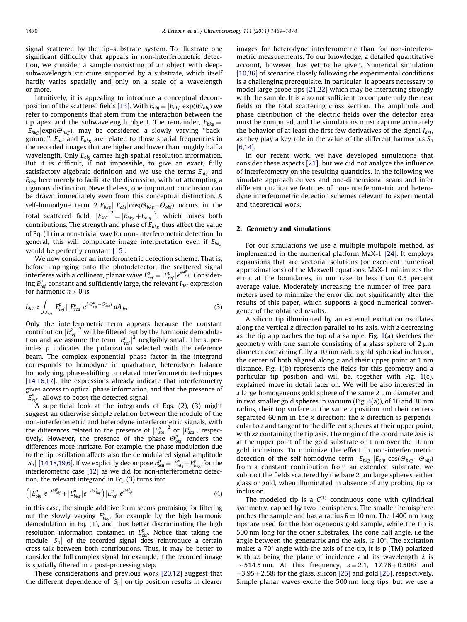signal scattered by the tip–substrate system. To illustrate one significant difficulty that appears in non-interferometric detection, we consider a sample consisting of an object with deepsubwavelength structure supported by a substrate, which itself hardly varies spatially and only on a scale of a wavelength or more.

Intuitively, it is appealing to introduce a conceptual decom-position of the scattered fields [\[13\]](#page-5-0). With  $E_{obj} = |E_{obj}| \exp(i\Theta_{obj})$  we refer to components that stem from the interaction between the tip apex and the subwavelength object. The remainder,  $E_{bkg} =$  $|E_{bkg}|$ exp( $i\Theta_{bkg}$ ), may be considered a slowly varying "background".  $E_{obj}$  and  $E_{bkg}$  are related to those spatial frequencies in the recorded images that are higher and lower than roughly half a wavelength. Only  $E_{obj}$  carries high spatial resolution information. But it is difficult, if not impossible, to give an exact, fully satisfactory algebraic definition and we use the terms  $E_{obj}$  and  $E_{bkg}$  here merely to facilitate the discussion, without attempting a rigorous distinction. Nevertheless, one important conclusion can be drawn immediately even from this conceptual distinction. A self-homodyne term  $2|E_{bkg}||E_{obj}|\cos(\Theta_{bkg}-\Theta_{obj})$  occurs in the total scattered field,  $|E_{sca}|^2 = |E_{bkg} + E_{obj}|^2$ , which mixes both contributions The strength and phase of E, thus affect the value contributions. The strength and phase of  $E_{bkg}$  thus affect the value of Eq. (1) in a non-trivial way for non-interferometric detection. In general, this will complicate image interpretation even if  $E_{bkg}$ would be perfectly constant [\[15\]](#page-5-0).

We now consider an interferometric detection scheme. That is, before impinging onto the photodetector, the scattered signal interferes with a collinear, planar wave  $E_{ref}^p = |E_{ref}^p|e^{i\Theta_{ref}^p}$ . Consider-<br>ing  $E_p^p$ , constant and sufficiently large, the relevant L, expression ing  $E_{ref}^{p}$  constant and sufficiently large, the relevant  $I_{det}$  expression for harmonic  $n > 0$  is

$$
I_{\text{det}} \propto \int_{A_{\text{det}}} |E_{\text{ref}}^p| |E_{\text{sc}a}^p| e^{i(\Theta_{\text{ref}}^p - \Theta_{\text{sc}a}^p)} dA_{\text{det}}.
$$
 (3)

Only the interferometric term appears because the constant contribution  $|E_{ref}^p|^2$  will be filtered out by the harmonic demodulation and we assume the term  $|E_p^p|^2$  negligibly small. The supertion and we assume the term  $|E_{ref}^p|^2$  negligibly small. The super-<br>index n indicates the polarization selected with the reference index  $p$  indicates the polarization selected with the reference beam. The complex exponential phase factor in the integrand corresponds to homodyne in quadrature, heterodyne, balance homodyning, phase-shifting or related interferometric techniques [\[14,16,17\]](#page-5-0). The expressions already indicate that interferometry gives access to optical phase information, and that the presence of  $\left|E_{ref}^{p}\right|$  allows to boost the detected signal.

A superficial look at the integrands of Eqs. (2), (3) might suggest an otherwise simple relation between the module of the non-interferometric and heterodyne interferometric signals, with the differences related to the presence of  $|E_{sca}^p|^2$  or  $|E_{sca}^p|$ , respectively. However, the presence of the phase  $\Theta_{obj}^p$  renders the differences more intricate. For example, the phase modulation due to the tip oscillation affects also the demodulated signal amplitude  $|S_n|$  [\[14,18,19,6\]](#page-5-0). If we explicitly decompose  $E_{\text{sea}}^p = E_{\text{obj}}^p + E_{\text{bkg}}^p$  for the interferometric case [12] as we did for non-interferometric detecinterferometric case [\[12\]](#page-5-0) as we did for non-interferometric detection, the relevant integrand in Eq. (3) turns into

$$
\left(\left|E^{p}_{obj}\right|e^{-i\Theta^{p}_{obj}}+\left|E^{p}_{bkg}\right|e^{-i\Theta^{p}_{bkg}}\right)\left|E^{p}_{ref}\right|e^{i\Theta^{p}_{ref}}\tag{4}
$$

in this case, the simple additive form seems promising for filtering out the slowly varying  $E_{bkg}^p$ , for example by the high harmonic demodulation in Eq. (1), and thus better discriminating the high resolution information contained in  $E_{obj}^p$ . Notice that taking the module  $|S_n|$  of the recorded signal does reintroduce a certain cross-talk between both contributions. Thus, it may be better to consider the full complex signal, for example, if the recorded image is spatially filtered in a post-processing step.

These considerations and previous work [\[20,12\]](#page-5-0) suggest that the different dependence of  $|S_n|$  on tip position results in clearer

images for heterodyne interferometric than for non-interferometric measurements. To our knowledge, a detailed quantitative account, however, has yet to be given. Numerical simulation [\[10,36\]](#page-5-0) of scenarios closely following the experimental conditions is a challenging prerequisite. In particular, it appears necessary to model large probe tips [\[21,22](#page-5-0)] which may be interacting strongly with the sample. It is also not sufficient to compute only the near fields or the total scattering cross section. The amplitude and phase distribution of the electric fields over the detector area must be computed, and the simulations must capture accurately the behavior of at least the first few derivatives of the signal  $I_{det}$ , as they play a key role in the value of the different harmonics  $S_n$ [\[6,14\]](#page-5-0).

In our recent work, we have developed simulations that consider these aspects [\[21\]](#page-5-0), but we did not analyze the influence of interferometry on the resulting quantities. In the following we simulate approach curves and one-dimensional scans and infer different qualitative features of non-interferometric and heterodyne interferometric detection schemes relevant to experimental and theoretical work.

### 2. Geometry and simulations

For our simulations we use a multiple multipole method, as implemented in the numerical platform MaX-1 [\[24\]](#page-5-0). It employs expansions that are vectorial solutions (or excellent numerical approximations) of the Maxwell equations. MaX-1 minimizes the error at the boundaries, in our case to less than 0.5 percent average value. Moderately increasing the number of free parameters used to minimize the error did not significantly alter the results of this paper, which supports a good numerical convergence of the obtained results.

A silicon tip illuminated by an external excitation oscillates along the vertical  $z$  direction parallel to its axis, with  $z$  decreasing as the tip approaches the top of a sample. Fig. [1](#page-2-0)(a) sketches the geometry with one sample consisting of a glass sphere of  $2 \mu m$ diameter containing fully a 10 nm radius gold spherical inclusion, the center of both aligned along  $z$  and their upper point at 1 nm distance. Fig. [1\(](#page-2-0)b) represents the fields for this geometry and a particular tip position and will be, together with Fig. [1\(](#page-2-0)c), explained more in detail later on. We will be also interested in a large homogeneous gold sphere of the same  $2 \mu m$  diameter and in two smaller gold spheres in vacuum (Fig. [4\(](#page-4-0)a)), of 10 and 30 nm radius, their top surface at the same z position and their centers separated 60 nm in the  $x$  direction; the  $x$  direction is perpendicular to z and tangent to the different spheres at their upper point, with xz containing the tip axis. The origin of the coordinate axis is at the upper point of the gold substrate or 1 nm over the 10 nm gold inclusions. To minimize the effect in non-interferometric detection of the self-homodyne term  $\left|E_{bkg}\right| \left|E_{obj}\right| \cos(\Theta_{bkg}-\Theta_{obj})$ <br>from a constant contribution from an extended substrate we from a constant contribution from an extended substrate, we subtract the fields scattered by the bare  $2 \mu m$  large spheres, either glass or gold, when illuminated in absence of any probing tip or inclusion.

The modeled tip is a  $C^{(1)}$  continuous cone with cylindrical symmetry, capped by two hemispheres. The smaller hemisphere probes the sample and has a radius  $R = 10$  nm. The 1400 nm long tips are used for the homogeneous gold sample, while the tip is 500 nm long for the other substrates. The cone half angle, i.e the angle between the generatrix and the axis, is  $10^{\circ}$ . The excitation makes a 70 $^{\circ}$  angle with the axis of the tip, it is p (TM) polarized with xz being the plane of incidence and its wavelength  $\lambda$  is  $\sim$  514.5 nm. At this frequency,  $\varepsilon = 2.1$ , 17.76+0.508i and  $-3.95+2.58i$  for the glass, silicon [\[25\]](#page-5-0) and gold [\[26\],](#page-5-0) respectively. Simple planar waves excite the 500 nm long tips, but we use a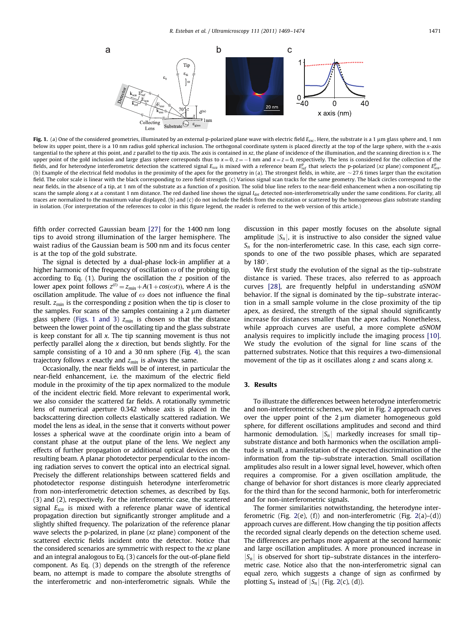<span id="page-2-0"></span>

Fig. 1. (a) One of the considered geometries, illuminated by an external p-polarized plane wave with electric field  $E_{\text{exc}}$ . Here, the substrate is a 1 µm glass sphere and, 1 nm below its upper point, there is a 10 nm radius gold spherical inclusion. The orthogonal coordinate system is placed directly at the top of the large sphere, with the x-axis tangential to the sphere at this point, and z parallel to the tip axis. The axis is contained in xz, the plane of incidence of the illumination, and the scanning direction is x. The upper point of the gold inclusion and large glass sphere corresponds thus to  $x = 0$ ,  $z = -1$  nm and  $x = z = 0$ , respectively. The lens is considered for the collection of the fields, and for heterodyne interferometric detection the scattered signal  $E_{sca}$  is mixed with a reference beam  $E_{\rm ref}^p$  that selects the p-polarized (xz plane) component  $E_{\rm sca}^p$ (b) Example of the electrical field modulus in the proximity of the apex for the geometry in (a). The strongest fields, in white, are  $\sim$  27.6 times larger than the excitation field. The color scale is linear with the black corresponding to zero field strength. (c) Various signal scan tracks for the same geometry. The black circles correspond to the near fields, in the absence of a tip, at 1 nm of the substrate as a function of x position. The solid blue line refers to the near-field enhancement when a non-oscillating tip scans the sample along x at a constant 1 nm distance. The red dashed line shows the signal  $L_{\alpha}$  detected non-interferometrically under the same conditions. For clarity, all traces are normalized to the maximum value displayed. (b) and (c) do not include the fields from the excitation or scattered by the homogeneous glass substrate standing in isolation. (For interpretation of the references to color in this figure legend, the reader is referred to the web version of this article.)

fifth order corrected Gaussian beam [\[27\]](#page-5-0) for the 1400 nm long tips to avoid strong illumination of the larger hemisphere. The waist radius of the Gaussian beam is 500 nm and its focus center is at the top of the gold substrate.

The signal is detected by a dual-phase lock-in amplifier at a higher harmonic of the frequency of oscillation  $\omega$  of the probing tip, according to Eq.  $(1)$ . During the oscillation the *z* position of the lower apex point follows  $z^{(t)} = z_{min} + A(1 + cos(\omega t))$ , where A is the oscillation amplitude. The value of  $\omega$  does not influence the final result.  $z_{min}$  is the corresponding z position when the tip is closer to the samples. For scans of the samples containing a  $2 \mu m$  diameter glass sphere (Figs. 1 and 3)  $z_{min}$  is chosen so that the distance between the lower point of the oscillating tip and the glass substrate is keep constant for all  $x$ . The tip scanning movement is thus not perfectly parallel along the  $x$  direction, but bends slightly. For the sample consisting of a 10 and a 30 nm sphere (Fig. [4\)](#page-4-0), the scan trajectory follows x exactly and  $z_{min}$  is always the same.

Occasionally, the near fields will be of interest, in particular the near-field enhancement, i.e. the maximum of the electric field module in the proximity of the tip apex normalized to the module of the incident electric field. More relevant to experimental work, we also consider the scattered far fields. A rotationally symmetric lens of numerical aperture 0.342 whose axis is placed in the backscattering direction collects elastically scattered radiation. We model the lens as ideal, in the sense that it converts without power losses a spherical wave at the coordinate origin into a beam of constant phase at the output plane of the lens. We neglect any effects of further propagation or additional optical devices on the resulting beam. A planar photodetector perpendicular to the incoming radiation serves to convert the optical into an electrical signal. Precisely the different relationships between scattered fields and photodetector response distinguish heterodyne interferometric from non-interferometric detection schemes, as described by Eqs. (3) and (2), respectively. For the interferometric case, the scattered signal  $E_{sca}$  is mixed with a reference planar wave of identical propagation direction but significantly stronger amplitude and a slightly shifted frequency. The polarization of the reference planar wave selects the p-polarized, in plane (xz plane) component of the scattered electric fields incident onto the detector. Notice that the considered scenarios are symmetric with respect to the xz plane and an integral analogous to Eq. (3) cancels for the out-of-plane field component. As Eq. (3) depends on the strength of the reference beam, no attempt is made to compare the absolute strengths of the interferometric and non-interferometric signals. While the discussion in this paper mostly focuses on the absolute signal amplitude  $|S_n|$ , it is instructive to also consider the signed value  $S_n$  for the non-interferometric case. In this case, each sign corresponds to one of the two possible phases, which are separated by  $180^\circ$ .

We first study the evolution of the signal as the tip–substrate distance is varied. These traces, also referred to as approach curves [\[28\],](#page-5-0) are frequently helpful in understanding aSNOM behavior. If the signal is dominated by the tip–substrate interaction in a small sample volume in the close proximity of the tip apex, as desired, the strength of the signal should significantly increase for distances smaller than the apex radius. Nonetheless, while approach curves are useful, a more complete aSNOM analysis requires to implicitly include the imaging process [\[10\].](#page-5-0) We study the evolution of the signal for line scans of the patterned substrates. Notice that this requires a two-dimensional movement of the tip as it oscillates along z and scans along x.

# 3. Results

To illustrate the differences between heterodyne interferometric and non-interferometric schemes, we plot in Fig. [2](#page-3-0) approach curves over the upper point of the  $2 \mu m$  diameter homogeneous gold sphere, for different oscillations amplitudes and second and third harmonic demodulation.  $|S_n|$  markedly increases for small tip– substrate distance and both harmonics when the oscillation amplitude is small, a manifestation of the expected discrimination of the information from the tip–substrate interaction. Small oscillation amplitudes also result in a lower signal level, however, which often requires a compromise. For a given oscillation amplitude, the change of behavior for short distances is more clearly appreciated for the third than for the second harmonic, both for interferometric and for non-interferometric signals.

The former similarities notwithstanding, the heterodyne inter-ferometric (Fig. [2\(](#page-3-0)e), (f)) and non-interferometric (Fig. [2](#page-3-0)(a)–(d)) approach curves are different. How changing the tip position affects the recorded signal clearly depends on the detection scheme used. The differences are perhaps more apparent at the second harmonic and large oscillation amplitudes. A more pronounced increase in  $|S_n|$  is observed for short tip–substrate distances in the interferometric case. Notice also that the non-interferometric signal can equal zero, which suggests a change of sign as confirmed by plotting  $S_n$  instead of  $|S_n|$  (Fig. [2](#page-3-0)(c), (d)).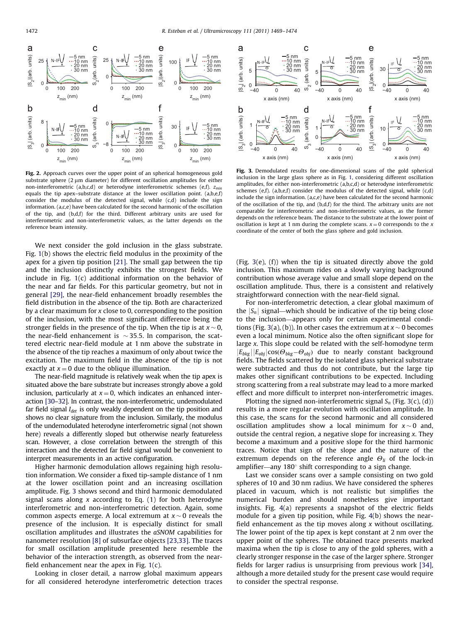<span id="page-3-0"></span>

Fig. 2. Approach curves over the upper point of an spherical homogeneous gold substrate sphere  $(2 \mu m)$  diameter) for different oscillation amplitudes for either non-interferometric (a,b,c,d) or heterodyne interferometric schemes (e,f),  $z_{min}$ equals the tip apex–substrate distance at the lower oscillation point.  $(a,b,e,f)$ consider the modulus of the detected signal, while (c,d) include the sign information. (a,c,e) have been calculated for the second harmonic of the oscillation of the tip, and (b,d,f) for the third. Different arbitrary units are used for interferometric and non-interferometric values, as the latter depends on the reference beam intensity.

We next consider the gold inclusion in the glass substrate. Fig. [1](#page-2-0)(b) shows the electric field modulus in the proximity of the apex for a given tip position [\[21\].](#page-5-0) The small gap between the tip and the inclusion distinctly exhibits the strongest fields. We include in Fig. [1\(](#page-2-0)c) additional information on the behavior of the near and far fields. For this particular geometry, but not in general [\[29\],](#page-5-0) the near-field enhancement broadly resembles the field distribution in the absence of the tip. Both are characterized by a clear maximum for x close to 0, corresponding to the position of the inclusion, with the most significant difference being the stronger fields in the presence of the tip. When the tip is at  $x \sim 0$ , the near-field enhancement is  $\sim$  35.5. In comparison, the scattered electric near-field module at 1 nm above the substrate in the absence of the tip reaches a maximum of only about twice the excitation. The maximum field in the absence of the tip is not exactly at  $x = 0$  due to the oblique illumination.

The near-field magnitude is relatively weak when the tip apex is situated above the bare substrate but increases strongly above a gold inclusion, particularly at  $x = 0$ , which indicates an enhanced interaction [\[30–32\]](#page-5-0). In contrast, the non-interferometric, undemodulated far field signal  $I_{det}$  is only weakly dependent on the tip position and shows no clear signature from the inclusion. Similarly, the modulus of the undemodulated heterodyne interferometric signal (not shown here) reveals a differently sloped but otherwise nearly featureless scan. However, a close correlation between the strength of this interaction and the detected far field signal would be convenient to interpret measurements in an active configuration.

Higher harmonic demodulation allows regaining high resolution information. We consider a fixed tip-sample distance of 1 nm at the lower oscillation point and an increasing oscillation amplitude. Fig. 3 shows second and third harmonic demodulated signal scans along  $x$  according to Eq. (1) for both heterodyne interferometric and non-interferometric detection. Again, some common aspects emerge. A local extremum at  $x \sim 0$  reveals the presence of the inclusion. It is especially distinct for small oscillation amplitudes and illustrates the aSNOM capabilities for nanometer resolution [\[8\]](#page-5-0) of subsurface objects [\[23,33\]](#page-5-0). The traces for small oscillation amplitude presented here resemble the behavior of the interaction strength, as observed from the nearfield enhancement near the apex in Fig. [1](#page-2-0)(c).

Looking in closer detail, a narrow global maximum appears for all considered heterodyne interferometric detection traces



Fig. 3. Demodulated results for one-dimensional scans of the gold spherical inclusion in the large glass sphere as in Fig. [1](#page-2-0), considering different oscillation amplitudes, for either non-interferometric (a,b,c,d) or heterodyne interferometric schemes (e,f). (a,b,e,f) consider the modulus of the detected signal, while  $(c,d)$ include the sign information.  $(a, c, e)$  have been calculated for the second harmonic of the oscillation of the tip, and (b,d,f) for the third. The arbitrary units are not comparable for interferometric and non-interferometric values, as the former depends on the reference beam. The distance to the substrate at the lower point of oscillation is kept at 1 nm during the complete scans.  $x = 0$  corresponds to the x coordinate of the center of both the glass sphere and gold inclusion.

(Fig. 3(e), (f)) when the tip is situated directly above the gold inclusion. This maximum rides on a slowly varying background contribution whose average value and small slope depend on the oscillation amplitude. Thus, there is a consistent and relatively straightforward connection with the near-field signal.

For non-interferometric detection, a clear global maximum of the  $|S_n|$  signal—which should be indicative of the tip being close to the inclusion—appears only for certain experimental conditions (Fig. 3(a), (b)). In other cases the extremum at  $x \sim 0$  becomes even a local minimum. Notice also the often significant slope for large x. This slope could be related with the self-homodyne term  $\left|E_{bkg}\right|\left|E_{obj}\right| \cos(\Theta_{bkg}-\Theta_{obj})$  due to nearly constant background<br>fields The fields scattered by the isolated glass spherical substrate fields. The fields scattered by the isolated glass spherical substrate were subtracted and thus do not contribute, but the large tip makes other significant contributions to be expected. Including strong scattering from a real substrate may lead to a more marked effect and more difficult to interpret non-interferometric images.

Plotting the signed non-interferometric signal  $S_n$  (Fig. 3(c), (d)) results in a more regular evolution with oscillation amplitude. In this case, the scans for the second harmonic and all considered oscillation amplitudes show a local minimum for  $x \sim 0$  and, outside the central region, a negative slope for increasing x. They become a maximum and a positive slope for the third harmonic traces. Notice that sign of the slope and the nature of the extremum depends on the reference angle  $\Theta_{li}$  of the lock-in amplifier—any  $180^\circ$  shift corresponding to a sign change.

Last we consider scans over a sample consisting on two gold spheres of 10 and 30 nm radius. We have considered the spheres placed in vacuum, which is not realistic but simplifies the numerical burden and should nonetheless give important insights. Fig. [4](#page-4-0)(a) represents a snapshot of the electric fields module for a given tip position, while Fig. [4](#page-4-0)(b) shows the nearfield enhancement as the tip moves along  $x$  without oscillating. The lower point of the tip apex is kept constant at 2 nm over the upper point of the spheres. The obtained trace presents marked maxima when the tip is close to any of the gold spheres, with a clearly stronger response in the case of the larger sphere. Stronger fields for larger radius is unsurprising from previous work [\[34\],](#page-5-0) although a more detailed study for the present case would require to consider the spectral response.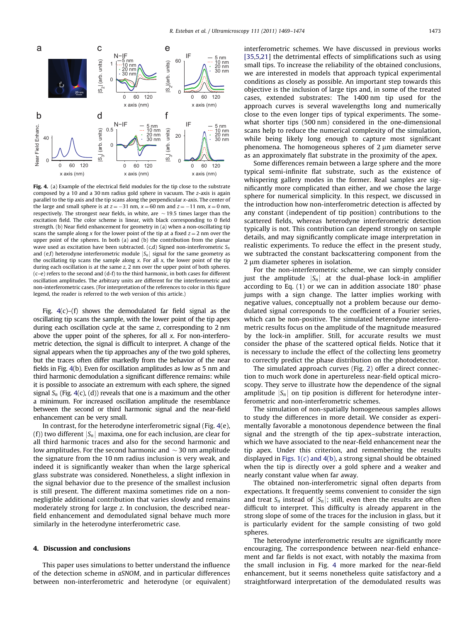<span id="page-4-0"></span>

Fig. 4. (a) Example of the electrical field modules for the tip close to the substrate composed by a 10 and a 30 nm radius gold sphere in vacuum. The z-axis is again parallel to the tip axis and the tip scans along the perpendicular x-axis. The center of the large and small sphere is at  $z = -31$  nm,  $x = 60$  nm and  $z = -11$  nm,  $x = 0$  nm, respectively. The strongest near fields, in white, are  $\sim$  19.5 times larger than the excitation field. The color scheme is linear, with black corresponding to 0 field strength. (b) Near field enhancement for geometry in (a) when a non-oscillating tip scans the sample along x for the lower point of the tip at a fixed  $z = 2$  nm over the upper point of the spheres. In both (a) and (b) the contribution from the planar wave used as excitation have been subtracted. (c,d) Signed non-interferometric  $S_n$ and (e,f) heterodyne interferometric module  $|S_n|$  signal for the same geometry as the oscillating tip scans the sample along  $x$ . For all  $x$ , the lower point of the tip during each oscillation is at the same z, 2 nm over the upper point of both spheres. (c–e) refers to the second and (d-f) to the third harmonic, in both cases for different oscillation amplitudes. The arbitrary units are different for the interferometric and non-interferometric cases. (For interpretation of the references to color in this figure legend, the reader is referred to the web version of this article.)

Fig.  $4(c)$ – $(f)$  shows the demodulated far field signal as the oscillating tip scans the sample, with the lower point of the tip apex during each oscillation cycle at the same z, corresponding to 2 nm above the upper point of the spheres, for all  $x$ . For non-interferometric detection, the signal is difficult to interpret. A change of the signal appears when the tip approaches any of the two gold spheres, but the traces often differ markedly from the behavior of the near fields in Fig. 4(b). Even for oscillation amplitudes as low as 5 nm and third harmonic demodulation a significant difference remains: while it is possible to associate an extremum with each sphere, the signed signal  $S_n$  (Fig. 4(c), (d)) reveals that one is a maximum and the other a minimum. For increased oscillation amplitude the resemblance between the second or third harmonic signal and the near-field enhancement can be very small.

In contrast, for the heterodyne interferometric signal (Fig.  $4(e)$ , (f)) two different  $|S_n|$  maxima, one for each inclusion, are clear for all third harmonic traces and also for the second harmonic and low amplitudes. For the second harmonic and  $\sim$  30 nm amplitude the signature from the 10 nm radius inclusion is very weak, and indeed it is significantly weaker than when the large spherical glass substrate was considered. Nonetheless, a slight inflexion in the signal behavior due to the presence of the smallest inclusion is still present. The different maxima sometimes ride on a nonnegligible additional contribution that varies slowly and remains moderately strong for large z. In conclusion, the described nearfield enhancement and demodulated signal behave much more similarly in the heterodyne interferometric case.

#### 4. Discussion and conclusions

This paper uses simulations to better understand the influence of the detection scheme in aSNOM, and in particular differences between non-interferometric and heterodyne (or equivalent) interferometric schemes. We have discussed in previous works [\[35,5,21](#page-5-0)] the detrimental effects of simplifications such as using small tips. To increase the reliability of the obtained conclusions, we are interested in models that approach typical experimental conditions as closely as possible. An important step towards this objective is the inclusion of large tips and, in some of the treated cases, extended substrates: The 1400 nm tip used for the approach curves is several wavelengths long and numerically close to the even longer tips of typical experiments. The somewhat shorter tips (500 nm) considered in the one-dimensional scans help to reduce the numerical complexity of the simulation, while being likely long enough to capture most significant phenomena. The homogeneous spheres of 2 um diameter serve as an approximately flat substrate in the proximity of the apex.

Some differences remain between a large sphere and the more typical semi-infinite flat substrate, such as the existence of whispering gallery modes in the former. Real samples are significantly more complicated than either, and we chose the large sphere for numerical simplicity. In this respect, we discussed in the introduction how non-interferometric detection is affected by any constant (independent of tip position) contributions to the scattered fields, whereas heterodyne interferometric detection typically is not. This contribution can depend strongly on sample details, and may significantly complicate image interpretation in realistic experiments. To reduce the effect in the present study, we subtracted the constant backscattering component from the  $2 \mu m$  diameter spheres in isolation.

For the non-interferometric scheme, we can simply consider just the amplitude  $|S_n|$  at the dual-phase lock-in amplifier according to Eq. (1) or we can in addition associate  $180^\circ$  phase jumps with a sign change. The latter implies working with negative values, conceptually not a problem because our demodulated signal corresponds to the coefficient of a Fourier series, which can be non-positive. The simulated heterodyne interferometric results focus on the amplitude of the magnitude measured by the lock-in amplifier. Still, for accurate results we must consider the phase of the scattered optical fields. Notice that it is necessary to include the effect of the collecting lens geometry to correctly predict the phase distribution on the photodetector.

The simulated approach curves (Fig. [2](#page-3-0)) offer a direct connection to much work done in apertureless near-field optical microscopy. They serve to illustrate how the dependence of the signal amplitude  $|S_n|$  on tip position is different for heterodyne interferometric and non-interferometric schemes.

The simulation of non-spatially homogeneous samples allows to study the differences in more detail. We consider as experimentally favorable a monotonous dependence between the final signal and the strength of the tip apex–substrate interaction, which we have associated to the near-field enhancement near the tip apex. Under this criterion, and remembering the results displayed in [Figs. 1\(c\) and 4\(b\)](#page-2-0), a strong signal should be obtained when the tip is directly over a gold sphere and a weaker and nearly constant value when far away.

The obtained non-interferometric signal often departs from expectations. It frequently seems convenient to consider the sign and treat  $S_n$  instead of  $|S_n|$ ; still, even then the results are often difficult to interpret. This difficulty is already apparent in the strong slope of some of the traces for the inclusion in glass, but it is particularly evident for the sample consisting of two gold spheres.

The heterodyne interferometric results are significantly more encouraging, The correspondence between near-field enhancement and far fields is not exact, with notably the maxima from the small inclusion in Fig. 4 more marked for the near-field enhancement, but it seems nonetheless quite satisfactory and a straightforward interpretation of the demodulated results was